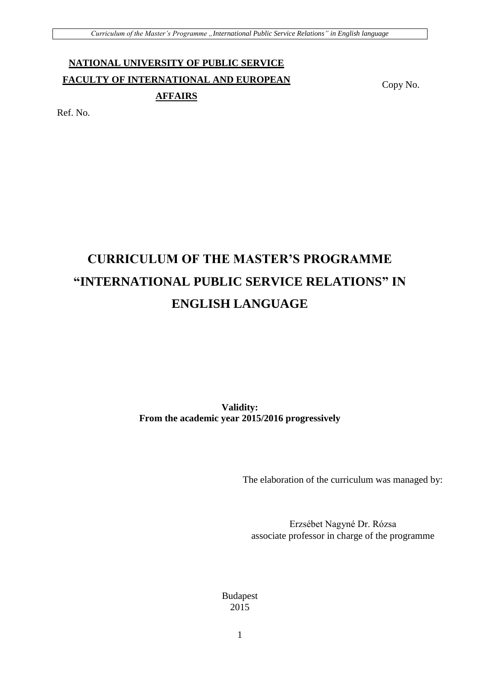# **NATIONAL UNIVERSITY OF PUBLIC SERVICE FACULTY OF INTERNATIONAL AND EUROPEAN AFFAIRS**

Copy No.

Ref. No.

# **CURRICULUM OF THE MASTER'S PROGRAMME "INTERNATIONAL PUBLIC SERVICE RELATIONS" IN ENGLISH LANGUAGE**

**Validity: From the academic year 2015/2016 progressively**

The elaboration of the curriculum was managed by:

Erzsébet Nagyné Dr. Rózsa associate professor in charge of the programme

Budapest 2015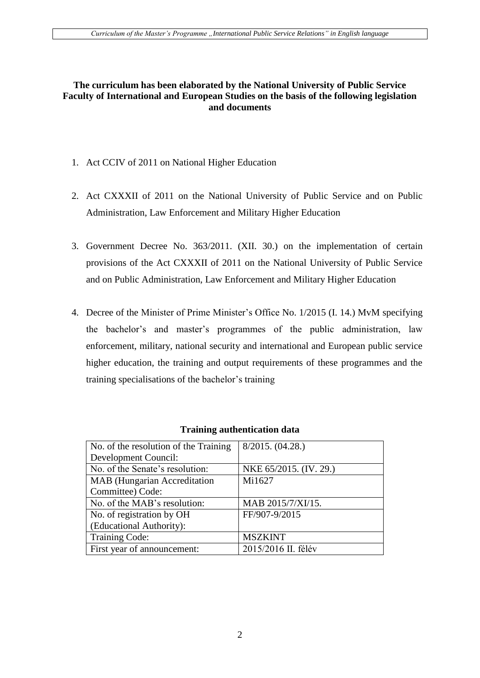### **The curriculum has been elaborated by the National University of Public Service Faculty of International and European Studies on the basis of the following legislation and documents**

- 1. Act CCIV of 2011 on National Higher Education
- 2. Act CXXXII of 2011 on the National University of Public Service and on Public Administration, Law Enforcement and Military Higher Education
- 3. Government Decree No. 363/2011. (XII. 30.) on the implementation of certain provisions of the Act CXXXII of 2011 on the National University of Public Service and on Public Administration, Law Enforcement and Military Higher Education
- 4. Decree of the Minister of Prime Minister's Office No. 1/2015 (I. 14.) MvM specifying the bachelor's and master's programmes of the public administration, law enforcement, military, national security and international and European public service higher education, the training and output requirements of these programmes and the training specialisations of the bachelor's training

| No. of the resolution of the Training | 8/2015. (04.28.)       |
|---------------------------------------|------------------------|
| Development Council:                  |                        |
| No. of the Senate's resolution:       | NKE 65/2015. (IV. 29.) |
| <b>MAB</b> (Hungarian Accreditation   | Mi1627                 |
| Committee) Code:                      |                        |
| No. of the MAB's resolution:          | MAB 2015/7/XI/15.      |
| No. of registration by OH             | FF/907-9/2015          |
| (Educational Authority):              |                        |
| <b>Training Code:</b>                 | <b>MSZKINT</b>         |
| First year of announcement:           | 2015/2016 II. félév    |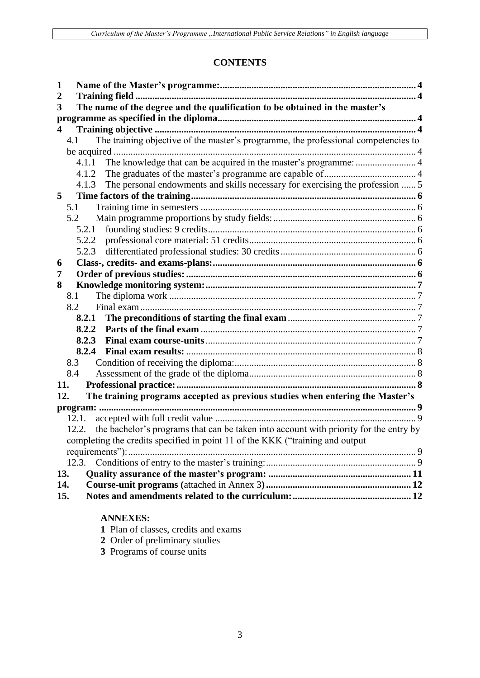# **CONTENTS**

| 1                                                                                           |  |
|---------------------------------------------------------------------------------------------|--|
| $\overline{2}$                                                                              |  |
| The name of the degree and the qualification to be obtained in the master's<br>3            |  |
|                                                                                             |  |
| 4                                                                                           |  |
| The training objective of the master's programme, the professional competencies to<br>4.1   |  |
|                                                                                             |  |
| 4.1.1 The knowledge that can be acquired in the master's programme:  4                      |  |
| 4.1.2                                                                                       |  |
| The personal endowments and skills necessary for exercising the profession  5<br>4.1.3      |  |
| 5                                                                                           |  |
| 5.1                                                                                         |  |
| 5.2                                                                                         |  |
| 5.2.1                                                                                       |  |
|                                                                                             |  |
| 5.2.3                                                                                       |  |
| 6                                                                                           |  |
| 7                                                                                           |  |
| 8                                                                                           |  |
| 8.1                                                                                         |  |
| 8.2                                                                                         |  |
| 8.2.1                                                                                       |  |
| 8.2.2                                                                                       |  |
| 8.2.3                                                                                       |  |
| 8.2.4                                                                                       |  |
| 8.3                                                                                         |  |
| 8.4                                                                                         |  |
| 11.                                                                                         |  |
| The training programs accepted as previous studies when entering the Master's<br>12.        |  |
|                                                                                             |  |
| 12.1.                                                                                       |  |
| 12.2. the bachelor's programs that can be taken into account with priority for the entry by |  |
| completing the credits specified in point 11 of the KKK ("training and output               |  |
| requirements"):                                                                             |  |
| 12.3.                                                                                       |  |
| 13.                                                                                         |  |
| 14.                                                                                         |  |
| 15.                                                                                         |  |
|                                                                                             |  |
|                                                                                             |  |

# **ANNEXES:**

- **1** Plan of classes, credits and exams
- **2** Order of preliminary studies
- **3** Programs of course units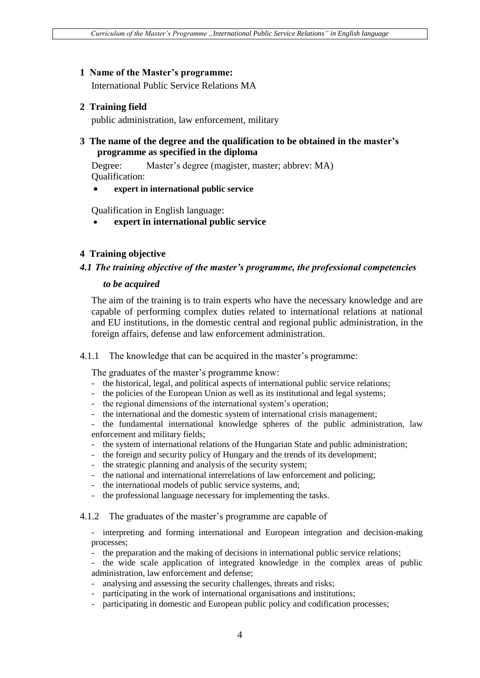#### **1 Name of the Master's programme:**

International Public Service Relations MA

#### **2 Training field**

public administration, law enforcement, military

### **3 The name of the degree and the qualification to be obtained in the master's programme as specified in the diploma**

Degree: Master's degree (magister, master; abbrev: MA) Qualification:

**expert in international public service**

Qualification in English language:

**expert in international public service**

#### **4 Training objective**

#### *4.1 The training objective of the master's programme, the professional competencies*

#### *to be acquired*

The aim of the training is to train experts who have the necessary knowledge and are capable of performing complex duties related to international relations at national and EU institutions, in the domestic central and regional public administration, in the foreign affairs, defense and law enforcement administration.

#### 4.1.1 The knowledge that can be acquired in the master's programme:

The graduates of the master's programme know:

- the historical, legal, and political aspects of international public service relations;
- the policies of the European Union as well as its institutional and legal systems;
- the regional dimensions of the international system's operation;
- the international and the domestic system of international crisis management;

the fundamental international knowledge spheres of the public administration, law enforcement and military fields;

- the system of international relations of the Hungarian State and public administration;
- the foreign and security policy of Hungary and the trends of its development;
- the strategic planning and analysis of the security system;
- the national and international interrelations of law enforcement and policing;
- the international models of public service systems, and;
- the professional language necessary for implementing the tasks.

4.1.2 The graduates of the master's programme are capable of

- interpreting and forming international and European integration and decision-making processes;

- the preparation and the making of decisions in international public service relations;

- the wide scale application of integrated knowledge in the complex areas of public administration, law enforcement and defense;

- analysing and assessing the security challenges, threats and risks;
- participating in the work of international organisations and institutions;
- participating in domestic and European public policy and codification processes;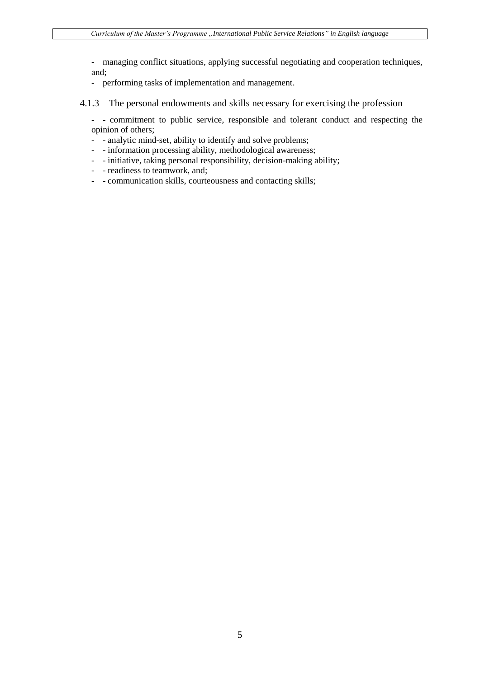- managing conflict situations, applying successful negotiating and cooperation techniques, and;

- performing tasks of implementation and management.
- 4.1.3 The personal endowments and skills necessary for exercising the profession
	- - commitment to public service, responsible and tolerant conduct and respecting the opinion of others;
	- - analytic mind-set, ability to identify and solve problems;
	- - information processing ability, methodological awareness;
	- - initiative, taking personal responsibility, decision-making ability;
	- - readiness to teamwork, and;
	- - communication skills, courteousness and contacting skills;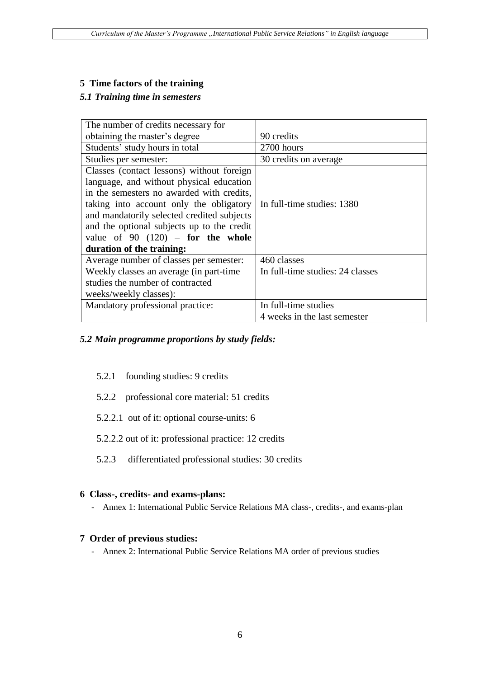### **5 Time factors of the training**

### *5.1 Training time in semesters*

| The number of credits necessary for        |                                  |
|--------------------------------------------|----------------------------------|
| obtaining the master's degree              | 90 credits                       |
| Students' study hours in total             | 2700 hours                       |
| Studies per semester:                      | 30 credits on average            |
| Classes (contact lessons) without foreign  |                                  |
| language, and without physical education   |                                  |
| in the semesters no awarded with credits,  |                                  |
| taking into account only the obligatory    | In full-time studies: 1380       |
| and mandatorily selected credited subjects |                                  |
| and the optional subjects up to the credit |                                  |
| value of $90$ $(120)$ – for the whole      |                                  |
| duration of the training:                  |                                  |
| Average number of classes per semester:    | 460 classes                      |
| Weekly classes an average (in part-time)   | In full-time studies: 24 classes |
| studies the number of contracted           |                                  |
| weeks/weekly classes):                     |                                  |
| Mandatory professional practice:           | In full-time studies             |
|                                            | 4 weeks in the last semester     |

### *5.2 Main programme proportions by study fields:*

- 5.2.1 founding studies: 9 credits
- 5.2.2 professional core material: 51 credits
- 5.2.2.1 out of it: optional course-units: 6
- 5.2.2.2 out of it: professional practice: 12 credits
- 5.2.3 differentiated professional studies: 30 credits

#### **6 Class-, credits- and exams-plans:**

- Annex 1: International Public Service Relations MA class-, credits-, and exams-plan

# **7 Order of previous studies:**

- Annex 2: International Public Service Relations MA order of previous studies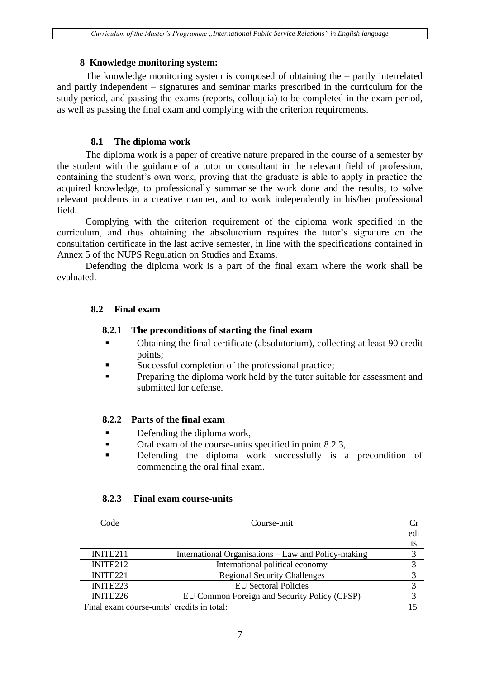#### **8 Knowledge monitoring system:**

The knowledge monitoring system is composed of obtaining the – partly interrelated and partly independent – signatures and seminar marks prescribed in the curriculum for the study period, and passing the exams (reports, colloquia) to be completed in the exam period, as well as passing the final exam and complying with the criterion requirements.

### **8.1 The diploma work**

The diploma work is a paper of creative nature prepared in the course of a semester by the student with the guidance of a tutor or consultant in the relevant field of profession, containing the student's own work, proving that the graduate is able to apply in practice the acquired knowledge, to professionally summarise the work done and the results, to solve relevant problems in a creative manner, and to work independently in his/her professional field.

Complying with the criterion requirement of the diploma work specified in the curriculum, and thus obtaining the absolutorium requires the tutor's signature on the consultation certificate in the last active semester, in line with the specifications contained in Annex 5 of the NUPS Regulation on Studies and Exams.

Defending the diploma work is a part of the final exam where the work shall be evaluated.

#### **8.2 Final exam**

#### **8.2.1 The preconditions of starting the final exam**

- Obtaining the final certificate (absolutorium), collecting at least 90 credit points;
- Successful completion of the professional practice;
- **Preparing the diploma work held by the tutor suitable for assessment and** submitted for defense.

#### **8.2.2 Parts of the final exam**

- Defending the diploma work,
- Oral exam of the course-units specified in point 8.2.3,
- Defending the diploma work successfully is a precondition of commencing the oral final exam.

| Code                                       | Course-unit                                         |     |
|--------------------------------------------|-----------------------------------------------------|-----|
|                                            |                                                     | edi |
|                                            |                                                     | ts  |
| INITE <sub>211</sub>                       | International Organisations - Law and Policy-making |     |
| INITE212                                   | International political economy                     |     |
| INITE <sub>221</sub>                       | <b>Regional Security Challenges</b>                 |     |
| INITE223                                   | <b>EU</b> Sectoral Policies                         |     |
| INITE226                                   | EU Common Foreign and Security Policy (CFSP)        |     |
| Final exam course-units' credits in total: |                                                     |     |

#### **8.2.3 Final exam course-units**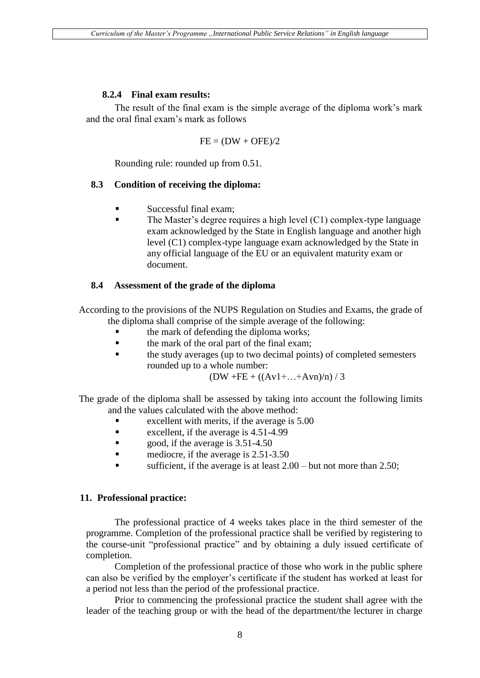#### **8.2.4 Final exam results:**

The result of the final exam is the simple average of the diploma work's mark and the oral final exam's mark as follows

$$
FE = (DW + OFE)/2
$$

Rounding rule: rounded up from 0.51.

#### **8.3 Condition of receiving the diploma:**

- $\blacksquare$  Successful final exam:
- The Master's degree requires a high level (C1) complex-type language exam acknowledged by the State in English language and another high level (C1) complex-type language exam acknowledged by the State in any official language of the EU or an equivalent maturity exam or document.

#### **8.4 Assessment of the grade of the diploma**

According to the provisions of the NUPS Regulation on Studies and Exams, the grade of the diploma shall comprise of the simple average of the following:

- the mark of defending the diploma works;
- **the mark of the oral part of the final exam;**
- the study averages (up to two decimal points) of completed semesters rounded up to a whole number:

 $(DW + FE + ((Av1 + ... + Avn)/n) / 3$ 

The grade of the diploma shall be assessed by taking into account the following limits and the values calculated with the above method:

- Excellent with merits, if the average is  $5.00$
- **excellent, if the average is 4.51-4.99**
- **good, if the average is 3.51-4.50**
- mediocre, if the average is 2.51-3.50
- sufficient, if the average is at least  $2.00 -$  but not more than 2.50;

#### **11. Professional practice:**

The professional practice of 4 weeks takes place in the third semester of the programme. Completion of the professional practice shall be verified by registering to the course-unit "professional practice" and by obtaining a duly issued certificate of completion.

Completion of the professional practice of those who work in the public sphere can also be verified by the employer's certificate if the student has worked at least for a period not less than the period of the professional practice.

Prior to commencing the professional practice the student shall agree with the leader of the teaching group or with the head of the department/the lecturer in charge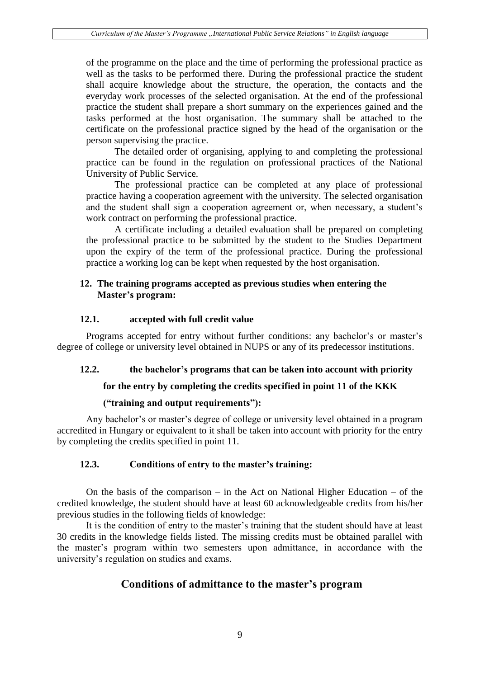of the programme on the place and the time of performing the professional practice as well as the tasks to be performed there. During the professional practice the student shall acquire knowledge about the structure, the operation, the contacts and the everyday work processes of the selected organisation. At the end of the professional practice the student shall prepare a short summary on the experiences gained and the tasks performed at the host organisation. The summary shall be attached to the certificate on the professional practice signed by the head of the organisation or the person supervising the practice.

The detailed order of organising, applying to and completing the professional practice can be found in the regulation on professional practices of the National University of Public Service.

The professional practice can be completed at any place of professional practice having a cooperation agreement with the university. The selected organisation and the student shall sign a cooperation agreement or, when necessary, a student's work contract on performing the professional practice.

A certificate including a detailed evaluation shall be prepared on completing the professional practice to be submitted by the student to the Studies Department upon the expiry of the term of the professional practice. During the professional practice a working log can be kept when requested by the host organisation.

#### **12. The training programs accepted as previous studies when entering the Master's program:**

#### **12.1. accepted with full credit value**

Programs accepted for entry without further conditions: any bachelor's or master's degree of college or university level obtained in NUPS or any of its predecessor institutions.

# **12.2. the bachelor's programs that can be taken into account with priority**

# **for the entry by completing the credits specified in point 11 of the KKK**

#### **("training and output requirements"):**

Any bachelor's or master's degree of college or university level obtained in a program accredited in Hungary or equivalent to it shall be taken into account with priority for the entry by completing the credits specified in point 11.

# **12.3. Conditions of entry to the master's training:**

On the basis of the comparison – in the Act on National Higher Education – of the credited knowledge, the student should have at least 60 acknowledgeable credits from his/her previous studies in the following fields of knowledge:

It is the condition of entry to the master's training that the student should have at least 30 credits in the knowledge fields listed. The missing credits must be obtained parallel with the master's program within two semesters upon admittance, in accordance with the university's regulation on studies and exams.

# **Conditions of admittance to the master's program**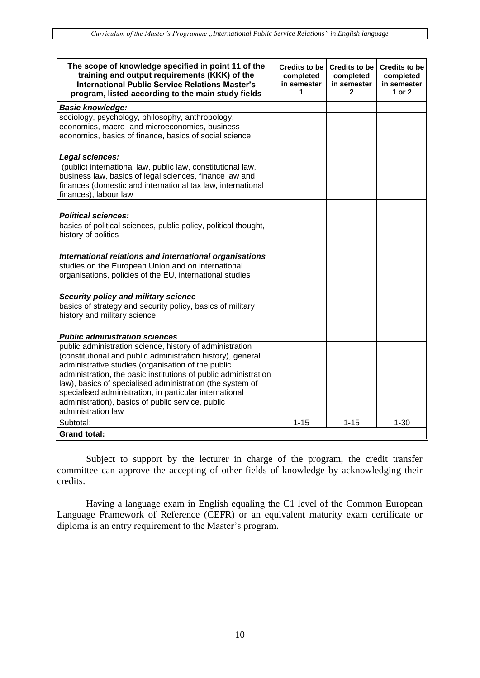| The scope of knowledge specified in point 11 of the<br>training and output requirements (KKK) of the         | Credits to be<br>completed | Credits to be<br>completed  | <b>Credits to be</b><br>completed |
|--------------------------------------------------------------------------------------------------------------|----------------------------|-----------------------------|-----------------------------------|
| <b>International Public Service Relations Master's</b><br>program, listed according to the main study fields | in semester<br>1           | in semester<br>$\mathbf{2}$ | in semester<br>1 or 2             |
| <b>Basic knowledge:</b>                                                                                      |                            |                             |                                   |
| sociology, psychology, philosophy, anthropology,                                                             |                            |                             |                                   |
| economics, macro- and microeconomics, business                                                               |                            |                             |                                   |
| economics, basics of finance, basics of social science                                                       |                            |                             |                                   |
|                                                                                                              |                            |                             |                                   |
| Legal sciences:                                                                                              |                            |                             |                                   |
| (public) international law, public law, constitutional law,                                                  |                            |                             |                                   |
| business law, basics of legal sciences, finance law and                                                      |                            |                             |                                   |
| finances (domestic and international tax law, international<br>finances), labour law                         |                            |                             |                                   |
|                                                                                                              |                            |                             |                                   |
| <b>Political sciences:</b>                                                                                   |                            |                             |                                   |
| basics of political sciences, public policy, political thought,                                              |                            |                             |                                   |
| history of politics                                                                                          |                            |                             |                                   |
|                                                                                                              |                            |                             |                                   |
| International relations and international organisations                                                      |                            |                             |                                   |
| studies on the European Union and on international                                                           |                            |                             |                                   |
| organisations, policies of the EU, international studies                                                     |                            |                             |                                   |
|                                                                                                              |                            |                             |                                   |
| Security policy and military science                                                                         |                            |                             |                                   |
| basics of strategy and security policy, basics of military                                                   |                            |                             |                                   |
| history and military science                                                                                 |                            |                             |                                   |
|                                                                                                              |                            |                             |                                   |
| <b>Public administration sciences</b>                                                                        |                            |                             |                                   |
| public administration science, history of administration                                                     |                            |                             |                                   |
| (constitutional and public administration history), general                                                  |                            |                             |                                   |
| administrative studies (organisation of the public                                                           |                            |                             |                                   |
| administration, the basic institutions of public administration                                              |                            |                             |                                   |
| law), basics of specialised administration (the system of                                                    |                            |                             |                                   |
| specialised administration, in particular international                                                      |                            |                             |                                   |
| administration), basics of public service, public                                                            |                            |                             |                                   |
| administration law                                                                                           |                            |                             |                                   |
| Subtotal:                                                                                                    | $1 - 15$                   | $1 - 15$                    | $1 - 30$                          |
| Grand total:                                                                                                 |                            |                             |                                   |

Subject to support by the lecturer in charge of the program, the credit transfer committee can approve the accepting of other fields of knowledge by acknowledging their credits.

Having a language exam in English equaling the C1 level of the Common European Language Framework of Reference (CEFR) or an equivalent maturity exam certificate or diploma is an entry requirement to the Master's program.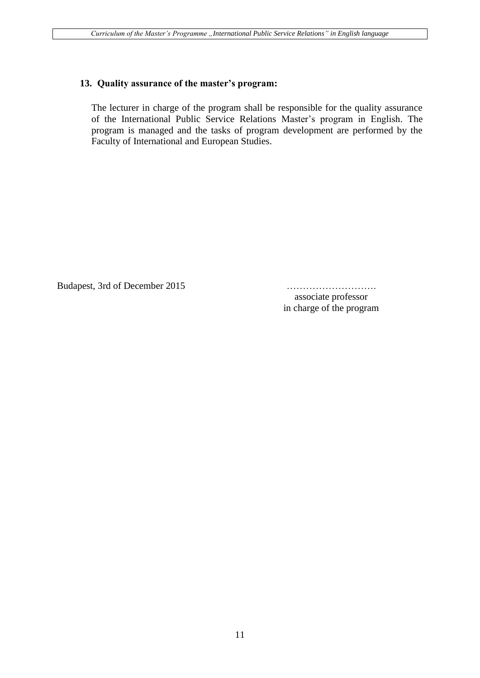#### **13. Quality assurance of the master's program:**

The lecturer in charge of the program shall be responsible for the quality assurance of the International Public Service Relations Master's program in English. The program is managed and the tasks of program development are performed by the Faculty of International and European Studies.

Budapest, 3rd of December 2015 ……………………….

associate professor in charge of the program